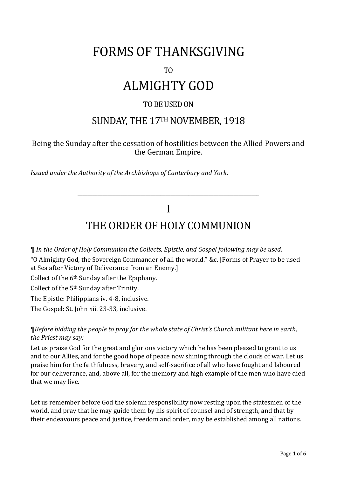# FORMS OF THANKSGIVING

#### TO

# ALMIGHTY GOD

#### TO BE USED ON

### SUNDAY, THE 17TH NOVEMBER, 1918

#### Being the Sunday after the cessation of hostilities between the Allied Powers and the German Empire.

*Issued under the Authority of the Archbishops of Canterbury and York.*

### I THE ORDER OF HOLY COMMUNION

\_\_\_\_\_\_\_\_\_\_\_\_\_\_\_\_\_\_\_\_\_\_\_\_\_\_\_\_\_\_\_\_\_\_\_\_\_\_\_\_\_\_\_\_\_\_\_\_\_\_\_\_\_\_\_\_\_\_\_\_\_\_\_\_\_\_\_\_\_\_\_\_

¶ *In the Order of Holy Communion the Collects, Epistle, and Gospel following may be used:* "O Almighty God, the Sovereign Commander of all the world." &c. [Forms of Prayer to be used at Sea after Victory of Deliverance from an Enemy.] Collect of the 6th Sunday after the Epiphany. Collect of the 5th Sunday after Trinity. The Epistle: Philippians iv. 4-8, inclusive.

The Gospel: St. John xii. 23-33, inclusive.

¶*Before bidding the people to pray for the whole state of Christ's Church militant here in earth, the Priest may say:*

Let us praise God for the great and glorious victory which he has been pleased to grant to us and to our Allies, and for the good hope of peace now shining through the clouds of war. Let us praise him for the faithfulness, bravery, and self-sacrifice of all who have fought and laboured for our deliverance, and, above all, for the memory and high example of the men who have died that we may live.

Let us remember before God the solemn responsibility now resting upon the statesmen of the world, and pray that he may guide them by his spirit of counsel and of strength, and that by their endeavours peace and justice, freedom and order, may be established among all nations.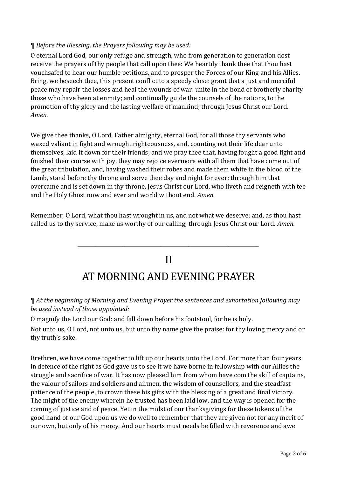#### ¶ *Before the Blessing, the Prayers following may be used:*

O eternal Lord God, our only refuge and strength, who from generation to generation dost receive the prayers of thy people that call upon thee: We heartily thank thee that thou hast vouchsafed to hear our humble petitions, and to prosper the Forces of our King and his Allies. Bring, we beseech thee, this present conflict to a speedy close: grant that a just and merciful peace may repair the losses and heal the wounds of war: unite in the bond of brotherly charity those who have been at enmity; and continually guide the counsels of the nations, to the promotion of thy glory and the lasting welfare of mankind; through Jesus Christ our Lord. *Amen.*

We give thee thanks, O Lord, Father almighty, eternal God, for all those thy servants who waxed valiant in fight and wrought righteousness, and, counting not their life dear unto themselves, laid it down for their friends; and we pray thee that, having fought a good fight and finished their course with joy, they may rejoice evermore with all them that have come out of the great tribulation, and, having washed their robes and made them white in the blood of the Lamb, stand before thy throne and serve thee day and night for ever; through him that overcame and is set down in thy throne, Jesus Christ our Lord, who liveth and reigneth with tee and the Holy Ghost now and ever and world without end. *Amen.*

Remember, O Lord, what thou hast wrought in us, and not what we deserve; and, as thou hast called us to thy service, make us worthy of our calling; through Jesus Christ our Lord. *Amen.*

## II AT MORNING AND EVENING PRAYER

\_\_\_\_\_\_\_\_\_\_\_\_\_\_\_\_\_\_\_\_\_\_\_\_\_\_\_\_\_\_\_\_\_\_\_\_\_\_\_\_\_\_\_\_\_\_\_\_\_\_\_\_\_\_\_\_\_\_\_\_\_\_\_\_\_\_\_\_\_\_\_\_

¶ *At the beginning of Morning and Evening Prayer the sentences and exhortation following may be used instead of those appointed:*

O magnify the Lord our God: and fall down before his footstool, for he is holy.

Not unto us, O Lord, not unto us, but unto thy name give the praise: for thy loving mercy and or thy truth's sake.

Brethren, we have come together to lift up our hearts unto the Lord. For more than four years in defence of the right as God gave us to see it we have borne in fellowship with our Allies the struggle and sacrifice of war. It has now pleased him from whom have com the skill of captains, the valour of sailors and soldiers and airmen, the wisdom of counsellors, and the steadfast patience of the people, to crown these his gifts with the blessing of a great and final victory. The might of the enemy wherein he trusted has been laid low, and the way is opened for the coming of justice and of peace. Yet in the midst of our thanksgivings for these tokens of the good hand of our God upon us we do well to remember that they are given not for any merit of our own, but only of his mercy. And our hearts must needs be filled with reverence and awe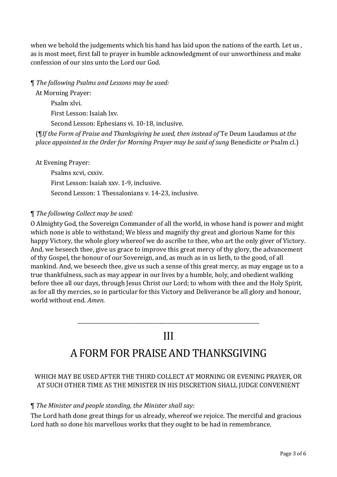when we behold the judgements which his hand has laid upon the nations of the earth. Let us , as is most meet, first fall to prayer in humble acknowledgment of our unworthiness and make confession of our sins unto the Lord our God.

¶ *The following Psalms and Lessons may be used:*

At Morning Prayer:

Psalm xlvi. First Lesson: Isaiah lxv.

Second Lesson: Ephesians vi. 10-18, inclusive.

(¶*If the Form of Praise and Thanksgiving be used, then instead of* Te Deum Laudamus *at the place appointed in the Order for Morning Prayer may be said of sung* Benedicite *or* Psalm cl.)

At Evening Prayer:

Psalms xcvi, cxxiv. First Lesson: Isaiah xxv. 1-9, inclusive. Second Lesson: 1 Thessalonians v. 14-23, inclusive.

#### ¶ *The following Collect may be used:*

O Almighty God, the Sovereign Commander of all the world, in whose hand is power and might which none is able to withstand; We bless and magnify thy great and glorious Name for this happy Victory, the whole glory whereof we do ascribe to thee, who art the only giver of Victory. And, we beseech thee, give us grace to improve this great mercy of thy glory, the advancement of thy Gospel, the honour of our Sovereign, and, as much as in us lieth, to the good, of all mankind. And, we beseech thee, give us such a sense of this great mercy, as may engage us to a true thankfulness, such as may appear in our lives by a humble, holy, and obedient walking before thee all our days, through Jesus Christ our Lord; to whom with thee and the Holy Spirit, as for all thy mercies, so in particular for this Victory and Deliverance be all glory and honour, world without end. *Amen.*

### III

\_\_\_\_\_\_\_\_\_\_\_\_\_\_\_\_\_\_\_\_\_\_\_\_\_\_\_\_\_\_\_\_\_\_\_\_\_\_\_\_\_\_\_\_\_\_\_\_\_\_\_\_\_\_\_\_\_\_\_\_\_\_\_\_\_\_\_\_\_\_\_\_

## A FORM FOR PRAISE AND THANKSGIVING

#### WHICH MAY BE USED AFTER THE THIRD COLLECT AT MORNING OR EVENING PRAYER, OR AT SUCH OTHER TIME AS THE MINISTER IN HIS DISCRETION SHALL JUDGE CONVENIENT

#### ¶ *The Minister and people standing, the Minister shall say:*

The Lord hath done great things for us already, whereof we rejoice. The merciful and gracious Lord hath so done his marvellous works that they ought to be had in remembrance.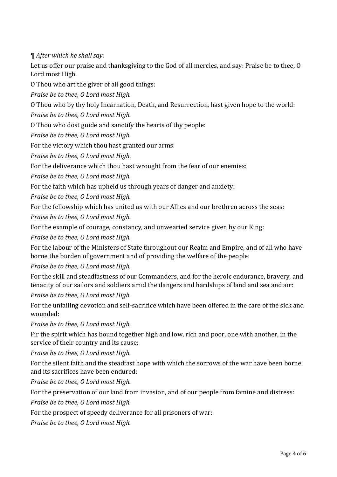¶ *After which he shall say:*

Let us offer our praise and thanksgiving to the God of all mercies, and say: Praise be to thee, O Lord most High.

O Thou who art the giver of all good things:

*Praise be to thee, O Lord most High.*

O Thou who by thy holy Incarnation, Death, and Resurrection, hast given hope to the world:

*Praise be to thee, O Lord most High.*

O Thou who dost guide and sanctify the hearts of thy people:

*Praise be to thee, O Lord most High.*

For the victory which thou hast granted our arms:

*Praise be to thee, O Lord most High.*

For the deliverance which thou hast wrought from the fear of our enemies:

*Praise be to thee, O Lord most High.*

For the faith which has upheld us through years of danger and anxiety:

*Praise be to thee, O Lord most High.*

For the fellowship which has united us with our Allies and our brethren across the seas: *Praise be to thee, O Lord most High.*

For the example of courage, constancy, and unwearied service given by our King:

*Praise be to thee, O Lord most High.*

For the labour of the Ministers of State throughout our Realm and Empire, and of all who have borne the burden of government and of providing the welfare of the people:

*Praise be to thee, O Lord most High.*

For the skill and steadfastness of our Commanders, and for the heroic endurance, bravery, and tenacity of our sailors and soldiers amid the dangers and hardships of land and sea and air:

*Praise be to thee, O Lord most High.*

For the unfailing devotion and self-sacrifice which have been offered in the care of the sick and wounded:

*Praise be to thee, O Lord most High.*

Fir the spirit which has bound together high and low, rich and poor, one with another, in the service of their country and its cause:

*Praise be to thee, O Lord most High.*

For the silent faith and the steadfast hope with which the sorrows of the war have been borne and its sacrifices have been endured:

*Praise be to thee, O Lord most High.*

For the preservation of our land from invasion, and of our people from famine and distress:

*Praise be to thee, O Lord most High.*

For the prospect of speedy deliverance for all prisoners of war:

*Praise be to thee, O Lord most High.*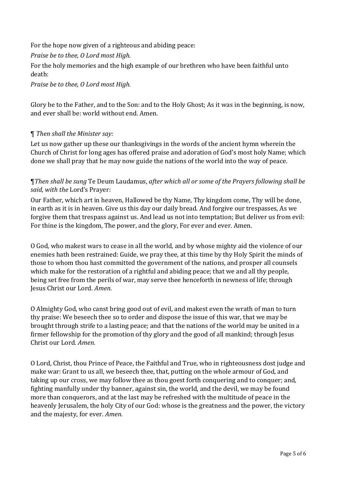For the hope now given of a righteous and abiding peace:

*Praise be to thee, O Lord most High.*

For the holy memories and the high example of our brethren who have been faithful unto death:

*Praise be to thee, O Lord most High.*

Glory be to the Father, and to the Son: and to the Holy Ghost; As it was in the beginning, is now, and ever shall be: world without end. Amen.

#### ¶ *Then shall the Minister say:*

Let us now gather up these our thanksgivings in the words of the ancient hymn wherein the Church of Christ for long ages has offered praise and adoration of God's most holy Name; which done we shall pray that he may now guide the nations of the world into the way of peace.

#### ¶*Then shall be sung* Te Deum Laudamus, *after which all or some of the Prayers following shall be said, with the* Lord's Prayer:

Our Father, which art in heaven, Hallowed be thy Name, Thy kingdom come, Thy will be done, in earth as it is in heaven. Give us this day our daily bread. And forgive our trespasses, As we forgive them that trespass against us. And lead us not into temptation; But deliver us from evil: For thine is the kingdom, The power, and the glory, For ever and ever. Amen.

O God, who makest wars to cease in all the world, and by whose mighty aid the violence of our enemies hath been restrained: Guide, we pray thee, at this time by thy Holy Spirit the minds of those to whom thou hast committed the government of the nations, and prosper all counsels which make for the restoration of a rightful and abiding peace; that we and all thy people, being set free from the perils of war, may serve thee henceforth in newness of life; through Jesus Christ our Lord. *Amen.*

O Almighty God, who canst bring good out of evil, and makest even the wrath of man to turn thy praise: We beseech thee so to order and dispose the issue of this war, that we may be brought through strife to a lasting peace; and that the nations of the world may be united in a firmer fellowship for the promotion of thy glory and the good of all mankind; through Jesus Christ our Lord. *Amen.*

O Lord, Christ, thou Prince of Peace, the Faithful and True, who in righteousness dost judge and make war: Grant to us all, we beseech thee, that, putting on the whole armour of God, and taking up our cross, we may follow thee as thou goest forth conquering and to conquer; and, fighting manfully under thy banner, against sin, the world, and the devil, we may be found more than conquerors, and at the last may be refreshed with the multitude of peace in the heavenly Jerusalem, the holy City of our God: whose is the greatness and the power, the victory and the majesty, for ever. *Amen.*